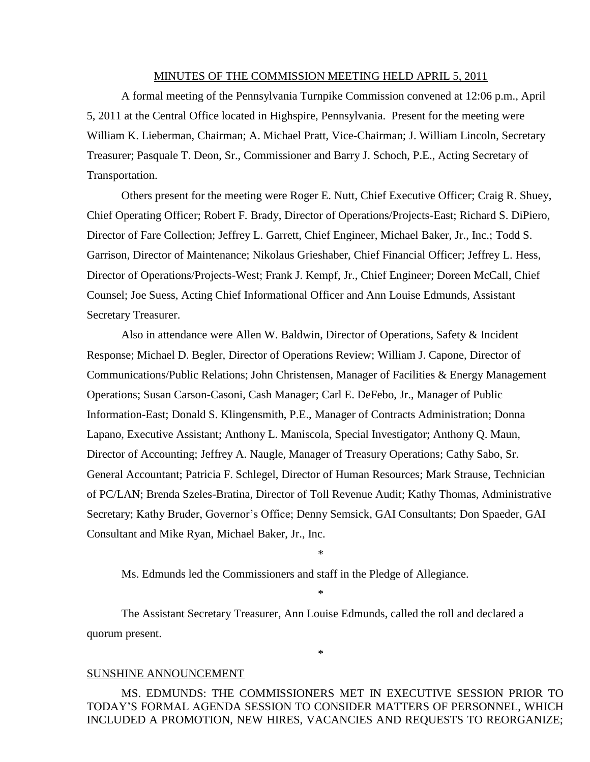#### MINUTES OF THE COMMISSION MEETING HELD APRIL 5, 2011

A formal meeting of the Pennsylvania Turnpike Commission convened at 12:06 p.m., April 5, 2011 at the Central Office located in Highspire, Pennsylvania. Present for the meeting were William K. Lieberman, Chairman; A. Michael Pratt, Vice-Chairman; J. William Lincoln, Secretary Treasurer; Pasquale T. Deon, Sr., Commissioner and Barry J. Schoch, P.E., Acting Secretary of Transportation.

Others present for the meeting were Roger E. Nutt, Chief Executive Officer; Craig R. Shuey, Chief Operating Officer; Robert F. Brady, Director of Operations/Projects-East; Richard S. DiPiero, Director of Fare Collection; Jeffrey L. Garrett, Chief Engineer, Michael Baker, Jr., Inc.; Todd S. Garrison, Director of Maintenance; Nikolaus Grieshaber, Chief Financial Officer; Jeffrey L. Hess, Director of Operations/Projects-West; Frank J. Kempf, Jr., Chief Engineer; Doreen McCall, Chief Counsel; Joe Suess, Acting Chief Informational Officer and Ann Louise Edmunds, Assistant Secretary Treasurer.

Also in attendance were Allen W. Baldwin, Director of Operations, Safety & Incident Response; Michael D. Begler, Director of Operations Review; William J. Capone, Director of Communications/Public Relations; John Christensen, Manager of Facilities & Energy Management Operations; Susan Carson-Casoni, Cash Manager; Carl E. DeFebo, Jr., Manager of Public Information-East; Donald S. Klingensmith, P.E., Manager of Contracts Administration; Donna Lapano, Executive Assistant; Anthony L. Maniscola, Special Investigator; Anthony Q. Maun, Director of Accounting; Jeffrey A. Naugle, Manager of Treasury Operations; Cathy Sabo, Sr. General Accountant; Patricia F. Schlegel, Director of Human Resources; Mark Strause, Technician of PC/LAN; Brenda Szeles-Bratina, Director of Toll Revenue Audit; Kathy Thomas, Administrative Secretary; Kathy Bruder, Governor's Office; Denny Semsick, GAI Consultants; Don Spaeder, GAI Consultant and Mike Ryan, Michael Baker, Jr., Inc.

\*

\*

\*

Ms. Edmunds led the Commissioners and staff in the Pledge of Allegiance.

The Assistant Secretary Treasurer, Ann Louise Edmunds, called the roll and declared a quorum present.

#### SUNSHINE ANNOUNCEMENT

MS. EDMUNDS: THE COMMISSIONERS MET IN EXECUTIVE SESSION PRIOR TO TODAY'S FORMAL AGENDA SESSION TO CONSIDER MATTERS OF PERSONNEL, WHICH INCLUDED A PROMOTION, NEW HIRES, VACANCIES AND REQUESTS TO REORGANIZE;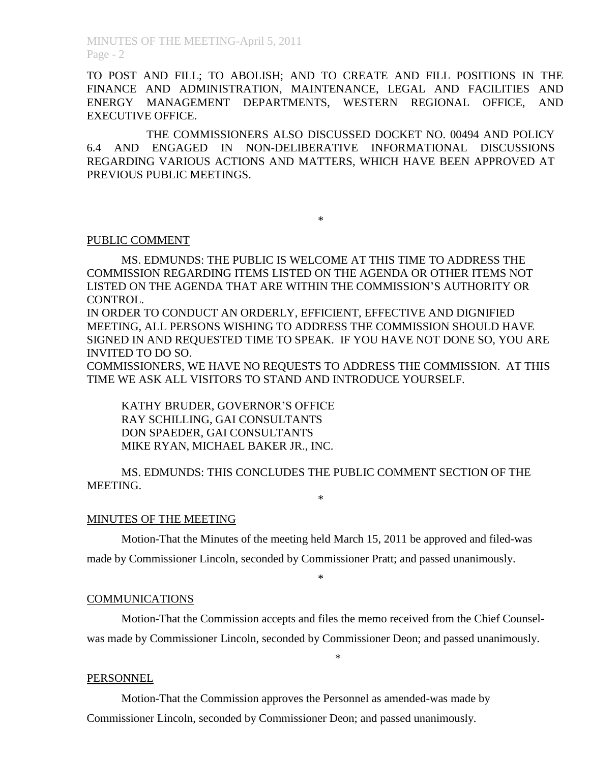MINUTES OF THE MEETING-April 5, 2011 Page - 2

TO POST AND FILL; TO ABOLISH; AND TO CREATE AND FILL POSITIONS IN THE FINANCE AND ADMINISTRATION, MAINTENANCE, LEGAL AND FACILITIES AND ENERGY MANAGEMENT DEPARTMENTS, WESTERN REGIONAL OFFICE, AND EXECUTIVE OFFICE.

THE COMMISSIONERS ALSO DISCUSSED DOCKET NO. 00494 AND POLICY 6.4 AND ENGAGED IN NON-DELIBERATIVE INFORMATIONAL DISCUSSIONS REGARDING VARIOUS ACTIONS AND MATTERS, WHICH HAVE BEEN APPROVED AT PREVIOUS PUBLIC MEETINGS.

\*

# PUBLIC COMMENT

MS. EDMUNDS: THE PUBLIC IS WELCOME AT THIS TIME TO ADDRESS THE COMMISSION REGARDING ITEMS LISTED ON THE AGENDA OR OTHER ITEMS NOT LISTED ON THE AGENDA THAT ARE WITHIN THE COMMISSION'S AUTHORITY OR CONTROL.

IN ORDER TO CONDUCT AN ORDERLY, EFFICIENT, EFFECTIVE AND DIGNIFIED MEETING, ALL PERSONS WISHING TO ADDRESS THE COMMISSION SHOULD HAVE SIGNED IN AND REQUESTED TIME TO SPEAK. IF YOU HAVE NOT DONE SO, YOU ARE INVITED TO DO SO.

COMMISSIONERS, WE HAVE NO REQUESTS TO ADDRESS THE COMMISSION. AT THIS TIME WE ASK ALL VISITORS TO STAND AND INTRODUCE YOURSELF.

KATHY BRUDER, GOVERNOR'S OFFICE RAY SCHILLING, GAI CONSULTANTS DON SPAEDER, GAI CONSULTANTS MIKE RYAN, MICHAEL BAKER JR., INC.

MS. EDMUNDS: THIS CONCLUDES THE PUBLIC COMMENT SECTION OF THE MEETING. \*

#### MINUTES OF THE MEETING

Motion-That the Minutes of the meeting held March 15, 2011 be approved and filed-was made by Commissioner Lincoln, seconded by Commissioner Pratt; and passed unanimously.

\*

### COMMUNICATIONS

Motion-That the Commission accepts and files the memo received from the Chief Counselwas made by Commissioner Lincoln, seconded by Commissioner Deon; and passed unanimously.

\*

#### **PERSONNEL**

Motion-That the Commission approves the Personnel as amended-was made by Commissioner Lincoln, seconded by Commissioner Deon; and passed unanimously.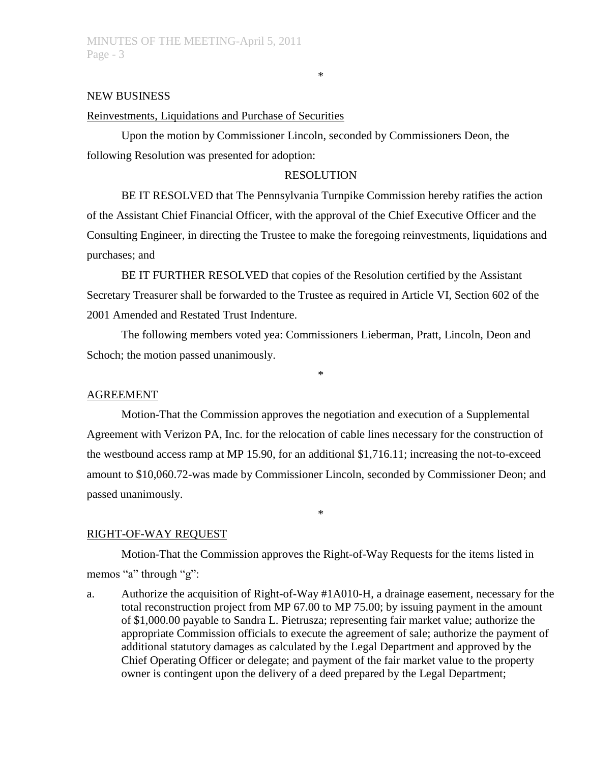## NEW BUSINESS

## Reinvestments, Liquidations and Purchase of Securities

Upon the motion by Commissioner Lincoln, seconded by Commissioners Deon, the following Resolution was presented for adoption:

### RESOLUTION

BE IT RESOLVED that The Pennsylvania Turnpike Commission hereby ratifies the action of the Assistant Chief Financial Officer, with the approval of the Chief Executive Officer and the Consulting Engineer, in directing the Trustee to make the foregoing reinvestments, liquidations and purchases; and

BE IT FURTHER RESOLVED that copies of the Resolution certified by the Assistant Secretary Treasurer shall be forwarded to the Trustee as required in Article VI, Section 602 of the 2001 Amended and Restated Trust Indenture.

The following members voted yea: Commissioners Lieberman, Pratt, Lincoln, Deon and Schoch; the motion passed unanimously.

\*

# AGREEMENT

Motion-That the Commission approves the negotiation and execution of a Supplemental Agreement with Verizon PA, Inc. for the relocation of cable lines necessary for the construction of the westbound access ramp at MP 15.90, for an additional \$1,716.11; increasing the not-to-exceed amount to \$10,060.72-was made by Commissioner Lincoln, seconded by Commissioner Deon; and passed unanimously.

\*

#### RIGHT-OF-WAY REQUEST

Motion-That the Commission approves the Right-of-Way Requests for the items listed in memos "a" through "g":

a. Authorize the acquisition of Right-of-Way #1A010-H, a drainage easement, necessary for the total reconstruction project from MP 67.00 to MP 75.00; by issuing payment in the amount of \$1,000.00 payable to Sandra L. Pietrusza; representing fair market value; authorize the appropriate Commission officials to execute the agreement of sale; authorize the payment of additional statutory damages as calculated by the Legal Department and approved by the Chief Operating Officer or delegate; and payment of the fair market value to the property owner is contingent upon the delivery of a deed prepared by the Legal Department;

\*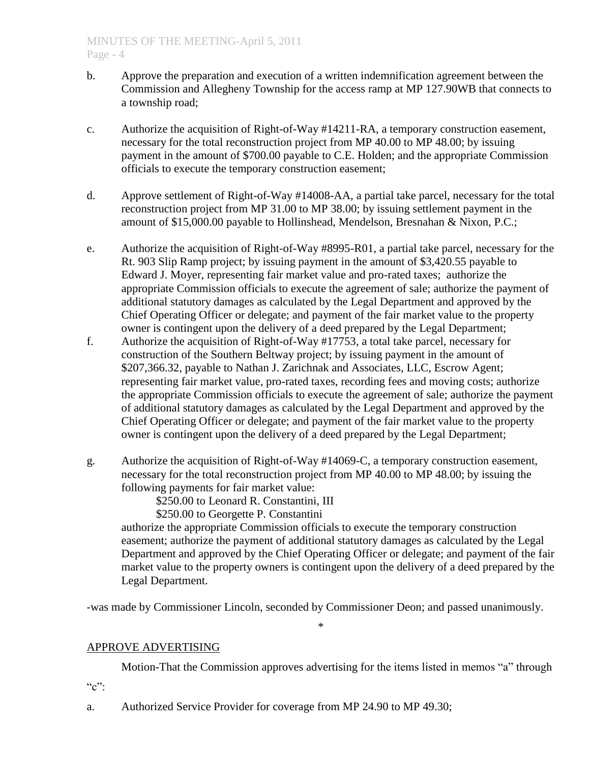- b. Approve the preparation and execution of a written indemnification agreement between the Commission and Allegheny Township for the access ramp at MP 127.90WB that connects to a township road;
- c. Authorize the acquisition of Right-of-Way #14211-RA, a temporary construction easement, necessary for the total reconstruction project from MP 40.00 to MP 48.00; by issuing payment in the amount of \$700.00 payable to C.E. Holden; and the appropriate Commission officials to execute the temporary construction easement;
- d. Approve settlement of Right-of-Way #14008-AA, a partial take parcel, necessary for the total reconstruction project from MP 31.00 to MP 38.00; by issuing settlement payment in the amount of \$15,000.00 payable to Hollinshead, Mendelson, Bresnahan & Nixon, P.C.;
- e. Authorize the acquisition of Right-of-Way #8995-R01, a partial take parcel, necessary for the Rt. 903 Slip Ramp project; by issuing payment in the amount of \$3,420.55 payable to Edward J. Moyer, representing fair market value and pro-rated taxes; authorize the appropriate Commission officials to execute the agreement of sale; authorize the payment of additional statutory damages as calculated by the Legal Department and approved by the Chief Operating Officer or delegate; and payment of the fair market value to the property owner is contingent upon the delivery of a deed prepared by the Legal Department;
- f. Authorize the acquisition of Right-of-Way #17753, a total take parcel, necessary for construction of the Southern Beltway project; by issuing payment in the amount of \$207,366.32, payable to Nathan J. Zarichnak and Associates, LLC, Escrow Agent; representing fair market value, pro-rated taxes, recording fees and moving costs; authorize the appropriate Commission officials to execute the agreement of sale; authorize the payment of additional statutory damages as calculated by the Legal Department and approved by the Chief Operating Officer or delegate; and payment of the fair market value to the property owner is contingent upon the delivery of a deed prepared by the Legal Department;
- g. Authorize the acquisition of Right-of-Way #14069-C, a temporary construction easement, necessary for the total reconstruction project from MP 40.00 to MP 48.00; by issuing the following payments for fair market value:

\$250.00 to Leonard R. Constantini, III

\$250.00 to Georgette P. Constantini

authorize the appropriate Commission officials to execute the temporary construction easement; authorize the payment of additional statutory damages as calculated by the Legal Department and approved by the Chief Operating Officer or delegate; and payment of the fair market value to the property owners is contingent upon the delivery of a deed prepared by the Legal Department.

-was made by Commissioner Lincoln, seconded by Commissioner Deon; and passed unanimously.

\*

# APPROVE ADVERTISING

Motion-That the Commission approves advertising for the items listed in memos "a" through  $C$ ":

a. Authorized Service Provider for coverage from MP 24.90 to MP 49.30;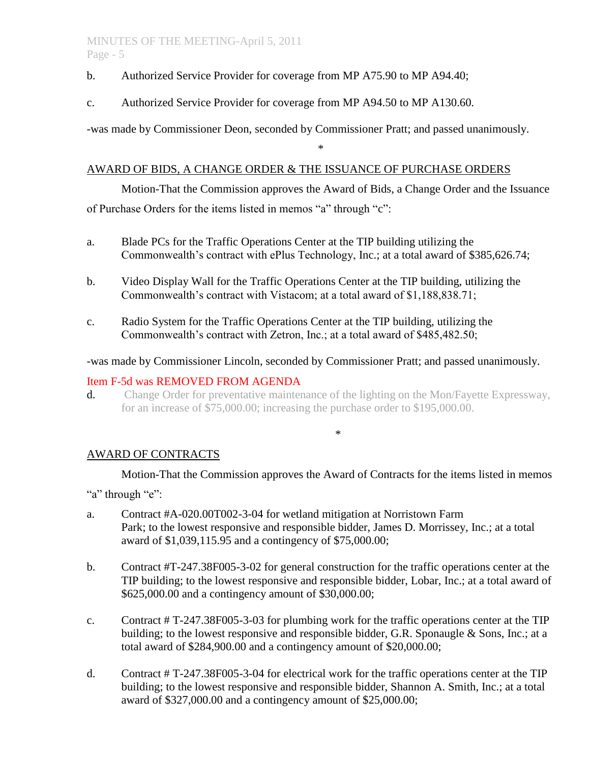## MINUTES OF THE MEETING-April 5, 2011 Page - 5

- b. Authorized Service Provider for coverage from MP A75.90 to MP A94.40;
- c. Authorized Service Provider for coverage from MP A94.50 to MP A130.60.

-was made by Commissioner Deon, seconded by Commissioner Pratt; and passed unanimously.

## AWARD OF BIDS, A CHANGE ORDER & THE ISSUANCE OF PURCHASE ORDERS

Motion-That the Commission approves the Award of Bids, a Change Order and the Issuance of Purchase Orders for the items listed in memos "a" through "c":

\*

- a. Blade PCs for the Traffic Operations Center at the TIP building utilizing the Commonwealth's contract with ePlus Technology, Inc.; at a total award of \$385,626.74;
- b. Video Display Wall for the Traffic Operations Center at the TIP building, utilizing the Commonwealth's contract with Vistacom; at a total award of \$1,188,838.71;
- c. Radio System for the Traffic Operations Center at the TIP building, utilizing the Commonwealth's contract with Zetron, Inc.; at a total award of \$485,482.50;

## -was made by Commissioner Lincoln, seconded by Commissioner Pratt; and passed unanimously.

## Item F-5d was REMOVED FROM AGENDA

d. Change Order for preventative maintenance of the lighting on the Mon/Fayette Expressway, for an increase of \$75,000.00; increasing the purchase order to \$195,000.00.

#### \*

# AWARD OF CONTRACTS

Motion-That the Commission approves the Award of Contracts for the items listed in memos

"a" through "e":

- a. Contract #A-020.00T002-3-04 for wetland mitigation at Norristown Farm Park; to the lowest responsive and responsible bidder, James D. Morrissey, Inc.; at a total award of \$1,039,115.95 and a contingency of \$75,000.00;
- b. Contract #T-247.38F005-3-02 for general construction for the traffic operations center at the TIP building; to the lowest responsive and responsible bidder, Lobar, Inc.; at a total award of \$625,000.00 and a contingency amount of \$30,000.00;
- c. Contract # T-247.38F005-3-03 for plumbing work for the traffic operations center at the TIP building; to the lowest responsive and responsible bidder, G.R. Sponaugle & Sons, Inc.; at a total award of \$284,900.00 and a contingency amount of \$20,000.00;
- d. Contract # T-247.38F005-3-04 for electrical work for the traffic operations center at the TIP building; to the lowest responsive and responsible bidder, Shannon A. Smith, Inc.; at a total award of \$327,000.00 and a contingency amount of \$25,000.00;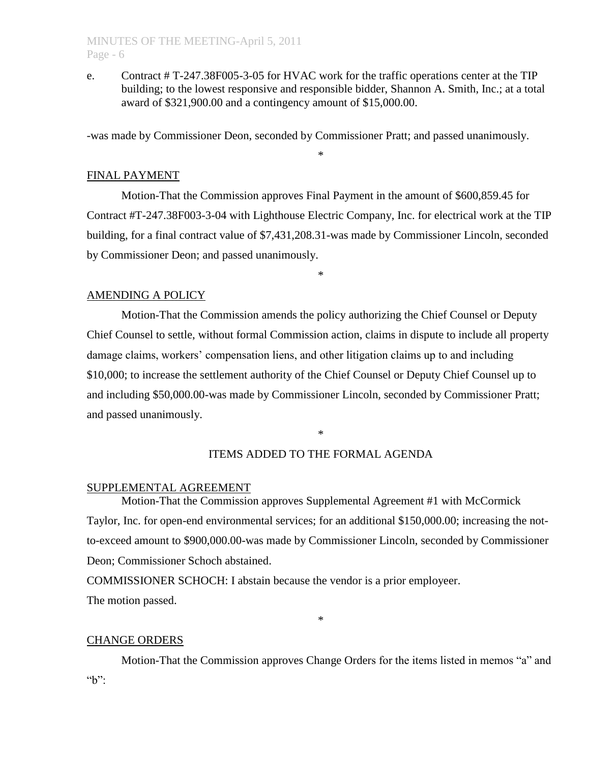## MINUTES OF THE MEETING-April 5, 2011 Page - 6

e. Contract # T-247.38F005-3-05 for HVAC work for the traffic operations center at the TIP building; to the lowest responsive and responsible bidder, Shannon A. Smith, Inc.; at a total award of \$321,900.00 and a contingency amount of \$15,000.00.

-was made by Commissioner Deon, seconded by Commissioner Pratt; and passed unanimously.

## FINAL PAYMENT

Motion-That the Commission approves Final Payment in the amount of \$600,859.45 for Contract #T-247.38F003-3-04 with Lighthouse Electric Company, Inc. for electrical work at the TIP building, for a final contract value of \$7,431,208.31-was made by Commissioner Lincoln, seconded by Commissioner Deon; and passed unanimously.

\*

\*

## AMENDING A POLICY

Motion-That the Commission amends the policy authorizing the Chief Counsel or Deputy Chief Counsel to settle, without formal Commission action, claims in dispute to include all property damage claims, workers' compensation liens, and other litigation claims up to and including \$10,000; to increase the settlement authority of the Chief Counsel or Deputy Chief Counsel up to and including \$50,000.00-was made by Commissioner Lincoln, seconded by Commissioner Pratt; and passed unanimously.

\*

## ITEMS ADDED TO THE FORMAL AGENDA

## SUPPLEMENTAL AGREEMENT

Motion-That the Commission approves Supplemental Agreement #1 with McCormick Taylor, Inc. for open-end environmental services; for an additional \$150,000.00; increasing the notto-exceed amount to \$900,000.00-was made by Commissioner Lincoln, seconded by Commissioner Deon; Commissioner Schoch abstained.

COMMISSIONER SCHOCH: I abstain because the vendor is a prior employeer. The motion passed.

#### CHANGE ORDERS

Motion-That the Commission approves Change Orders for the items listed in memos "a" and  $b$ ":

\*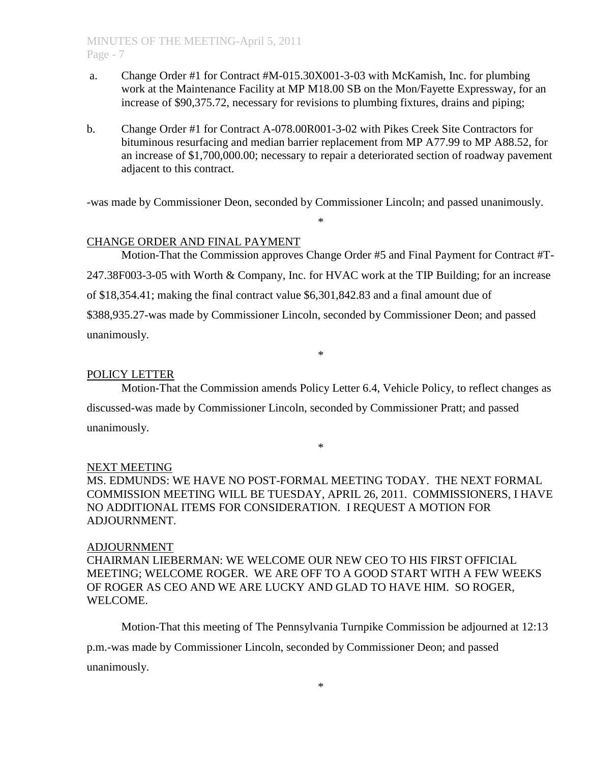- a. Change Order #1 for Contract #M-015.30X001-3-03 with McKamish, Inc. for plumbing work at the Maintenance Facility at MP M18.00 SB on the Mon/Fayette Expressway, for an increase of \$90,375.72, necessary for revisions to plumbing fixtures, drains and piping;
- b. Change Order #1 for Contract A-078.00R001-3-02 with Pikes Creek Site Contractors for bituminous resurfacing and median barrier replacement from MP A77.99 to MP A88.52, for an increase of \$1,700,000.00; necessary to repair a deteriorated section of roadway pavement adjacent to this contract.

-was made by Commissioner Deon, seconded by Commissioner Lincoln; and passed unanimously.

\*

## CHANGE ORDER AND FINAL PAYMENT

Motion-That the Commission approves Change Order #5 and Final Payment for Contract #T-247.38F003-3-05 with Worth & Company, Inc. for HVAC work at the TIP Building; for an increase of \$18,354.41; making the final contract value \$6,301,842.83 and a final amount due of \$388,935.27-was made by Commissioner Lincoln, seconded by Commissioner Deon; and passed unanimously.

\*

### POLICY LETTER

Motion-That the Commission amends Policy Letter 6.4, Vehicle Policy, to reflect changes as discussed-was made by Commissioner Lincoln, seconded by Commissioner Pratt; and passed unanimously.

\*

#### NEXT MEETING

MS. EDMUNDS: WE HAVE NO POST-FORMAL MEETING TODAY. THE NEXT FORMAL COMMISSION MEETING WILL BE TUESDAY, APRIL 26, 2011. COMMISSIONERS, I HAVE NO ADDITIONAL ITEMS FOR CONSIDERATION. I REQUEST A MOTION FOR ADJOURNMENT.

### ADJOURNMENT

CHAIRMAN LIEBERMAN: WE WELCOME OUR NEW CEO TO HIS FIRST OFFICIAL MEETING; WELCOME ROGER. WE ARE OFF TO A GOOD START WITH A FEW WEEKS OF ROGER AS CEO AND WE ARE LUCKY AND GLAD TO HAVE HIM. SO ROGER, WELCOME.

Motion-That this meeting of The Pennsylvania Turnpike Commission be adjourned at 12:13

p.m.-was made by Commissioner Lincoln, seconded by Commissioner Deon; and passed unanimously.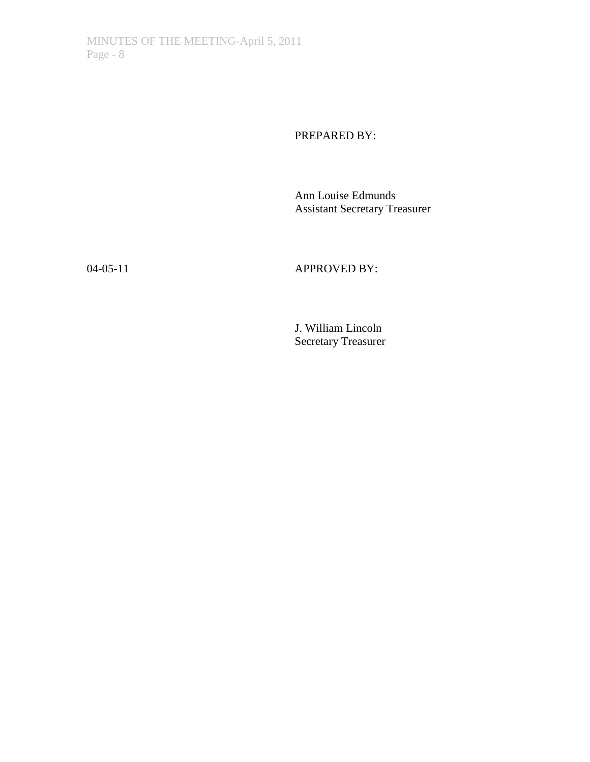PREPARED BY:

Ann Louise Edmunds Assistant Secretary Treasurer

04-05-11 **APPROVED BY:** 

J. William Lincoln Secretary Treasurer